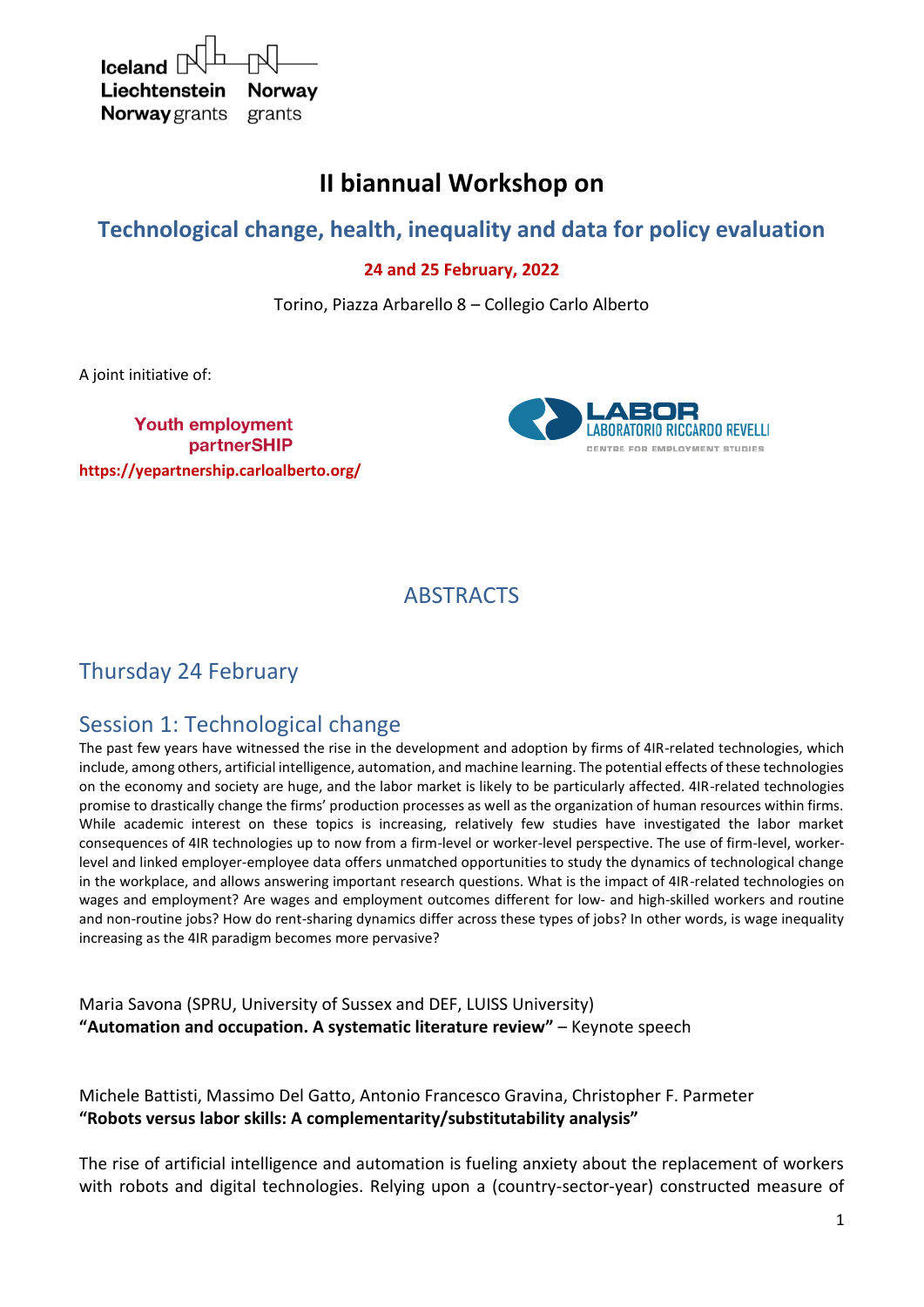| $I$ celand $\mathbb{R}$ $\Box$ |        |
|--------------------------------|--------|
| Liechtenstein Norway           |        |
| <b>Norway</b> grants           | grants |

# **II biannual Workshop on**

# **Technological change, health, inequality and data for policy evaluation**

## **24 and 25 February, 2022**

Torino, Piazza Arbarello 8 – Collegio Carlo Alberto

A joint initiative of:

**Youth employment** partnerSHIP **https://yepartnership.carloalberto.org/**



## ABSTRACTS

# Thursday 24 February

# Session 1: Technological change

The past few years have witnessed the rise in the development and adoption by firms of 4IR-related technologies, which include, among others, artificial intelligence, automation, and machine learning. The potential effects of these technologies on the economy and society are huge, and the labor market is likely to be particularly affected. 4IR-related technologies promise to drastically change the firms' production processes as well as the organization of human resources within firms. While academic interest on these topics is increasing, relatively few studies have investigated the labor market consequences of 4IR technologies up to now from a firm-level or worker-level perspective. The use of firm-level, workerlevel and linked employer-employee data offers unmatched opportunities to study the dynamics of technological change in the workplace, and allows answering important research questions. What is the impact of 4IR-related technologies on wages and employment? Are wages and employment outcomes different for low- and high-skilled workers and routine and non-routine jobs? How do rent-sharing dynamics differ across these types of jobs? In other words, is wage inequality increasing as the 4IR paradigm becomes more pervasive?

Maria Savona (SPRU, University of Sussex and DEF, LUISS University) **"Automation and occupation. A systematic literature review"** – Keynote speech

Michele Battisti, Massimo Del Gatto, Antonio Francesco Gravina, Christopher F. Parmeter **"Robots versus labor skills: A complementarity/substitutability analysis"** 

The rise of artificial intelligence and automation is fueling anxiety about the replacement of workers with robots and digital technologies. Relying upon a (country-sector-year) constructed measure of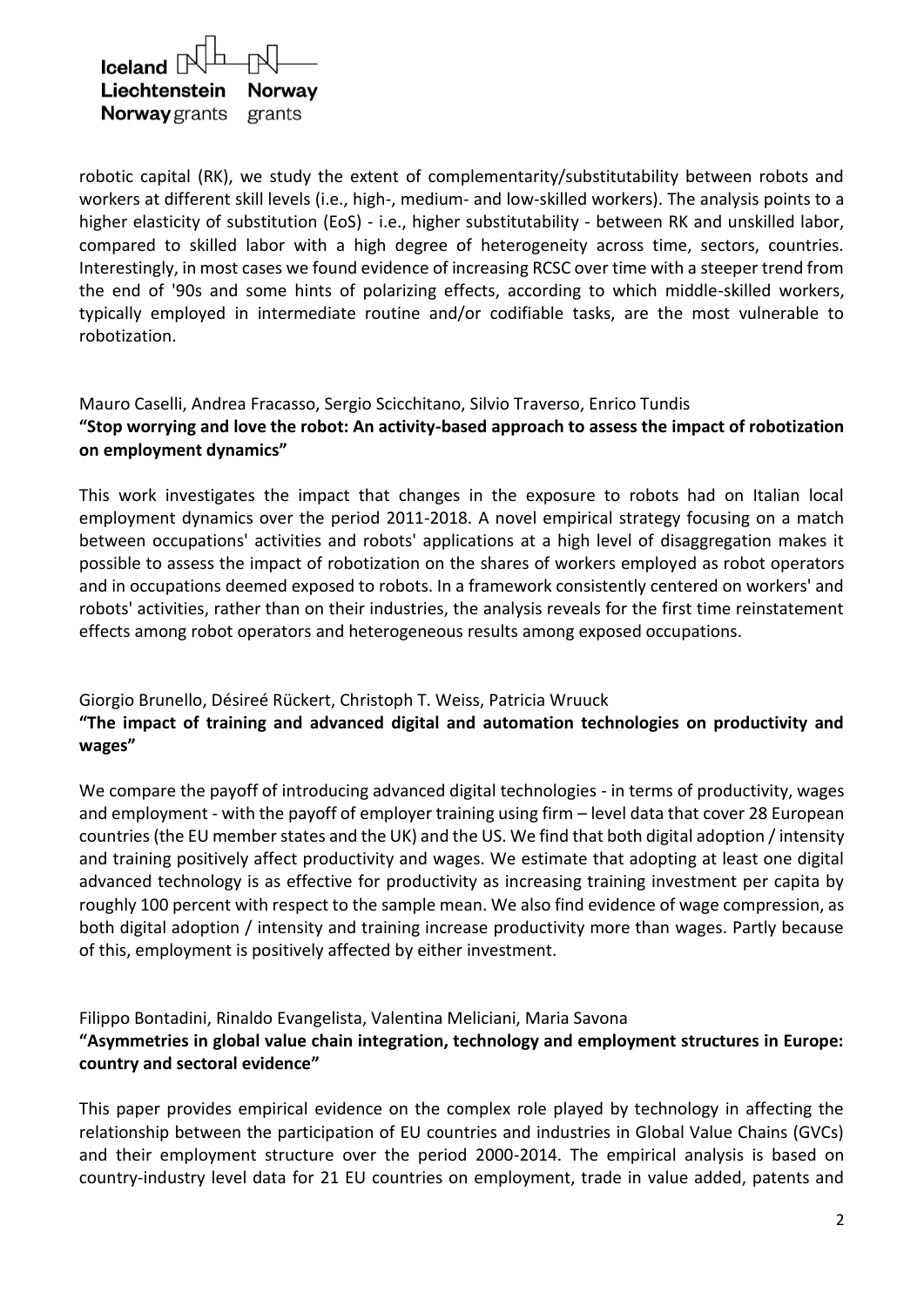

robotic capital (RK), we study the extent of complementarity/substitutability between robots and workers at different skill levels (i.e., high-, medium- and low-skilled workers). The analysis points to a higher elasticity of substitution (EoS) - i.e., higher substitutability - between RK and unskilled labor, compared to skilled labor with a high degree of heterogeneity across time, sectors, countries. Interestingly, in most cases we found evidence of increasing RCSC over time with a steeper trend from the end of '90s and some hints of polarizing effects, according to which middle-skilled workers, typically employed in intermediate routine and/or codifiable tasks, are the most vulnerable to robotization.

### Mauro Caselli, Andrea Fracasso, Sergio Scicchitano, Silvio Traverso, Enrico Tundis **"Stop worrying and love the robot: An activity-based approach to assess the impact of robotization on employment dynamics"**

This work investigates the impact that changes in the exposure to robots had on Italian local employment dynamics over the period 2011-2018. A novel empirical strategy focusing on a match between occupations' activities and robots' applications at a high level of disaggregation makes it possible to assess the impact of robotization on the shares of workers employed as robot operators and in occupations deemed exposed to robots. In a framework consistently centered on workers' and robots' activities, rather than on their industries, the analysis reveals for the first time reinstatement effects among robot operators and heterogeneous results among exposed occupations.

Giorgio Brunello, Désireé Rückert, Christoph T. Weiss, Patricia Wruuck

### **"The impact of training and advanced digital and automation technologies on productivity and wages"**

We compare the payoff of introducing advanced digital technologies - in terms of productivity, wages and employment - with the payoff of employer training using firm – level data that cover 28 European countries (the EU member states and the UK) and the US. We find that both digital adoption / intensity and training positively affect productivity and wages. We estimate that adopting at least one digital advanced technology is as effective for productivity as increasing training investment per capita by roughly 100 percent with respect to the sample mean. We also find evidence of wage compression, as both digital adoption / intensity and training increase productivity more than wages. Partly because of this, employment is positively affected by either investment.

Filippo Bontadini, Rinaldo Evangelista, Valentina Meliciani, Maria Savona **"Asymmetries in global value chain integration, technology and employment structures in Europe: country and sectoral evidence"**

This paper provides empirical evidence on the complex role played by technology in affecting the relationship between the participation of EU countries and industries in Global Value Chains (GVCs) and their employment structure over the period 2000-2014. The empirical analysis is based on country-industry level data for 21 EU countries on employment, trade in value added, patents and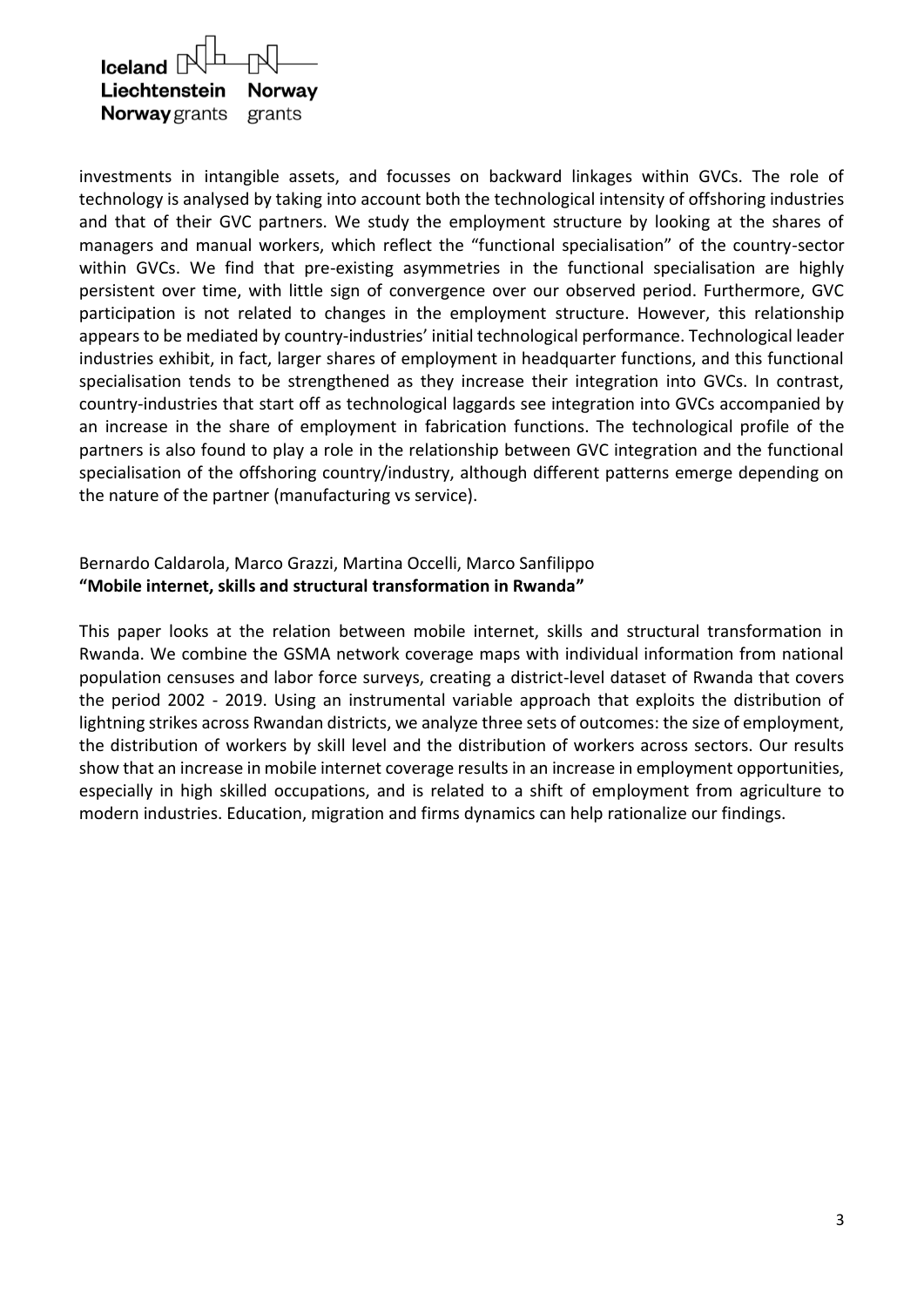| $I$ celand $\mathbb{R}$ $\Box$ |        |
|--------------------------------|--------|
| Liechtenstein Norway           |        |
| <b>Norway</b> grants           | grants |

investments in intangible assets, and focusses on backward linkages within GVCs. The role of technology is analysed by taking into account both the technological intensity of offshoring industries and that of their GVC partners. We study the employment structure by looking at the shares of managers and manual workers, which reflect the "functional specialisation" of the country-sector within GVCs. We find that pre-existing asymmetries in the functional specialisation are highly persistent over time, with little sign of convergence over our observed period. Furthermore, GVC participation is not related to changes in the employment structure. However, this relationship appears to be mediated by country-industries' initial technological performance. Technological leader industries exhibit, in fact, larger shares of employment in headquarter functions, and this functional specialisation tends to be strengthened as they increase their integration into GVCs. In contrast, country-industries that start off as technological laggards see integration into GVCs accompanied by an increase in the share of employment in fabrication functions. The technological profile of the partners is also found to play a role in the relationship between GVC integration and the functional specialisation of the offshoring country/industry, although different patterns emerge depending on the nature of the partner (manufacturing vs service).

### Bernardo Caldarola, Marco Grazzi, Martina Occelli, Marco Sanfilippo **"Mobile internet, skills and structural transformation in Rwanda"**

This paper looks at the relation between mobile internet, skills and structural transformation in Rwanda. We combine the GSMA network coverage maps with individual information from national population censuses and labor force surveys, creating a district-level dataset of Rwanda that covers the period 2002 - 2019. Using an instrumental variable approach that exploits the distribution of lightning strikes across Rwandan districts, we analyze three sets of outcomes: the size of employment, the distribution of workers by skill level and the distribution of workers across sectors. Our results show that an increase in mobile internet coverage results in an increase in employment opportunities, especially in high skilled occupations, and is related to a shift of employment from agriculture to modern industries. Education, migration and firms dynamics can help rationalize our findings.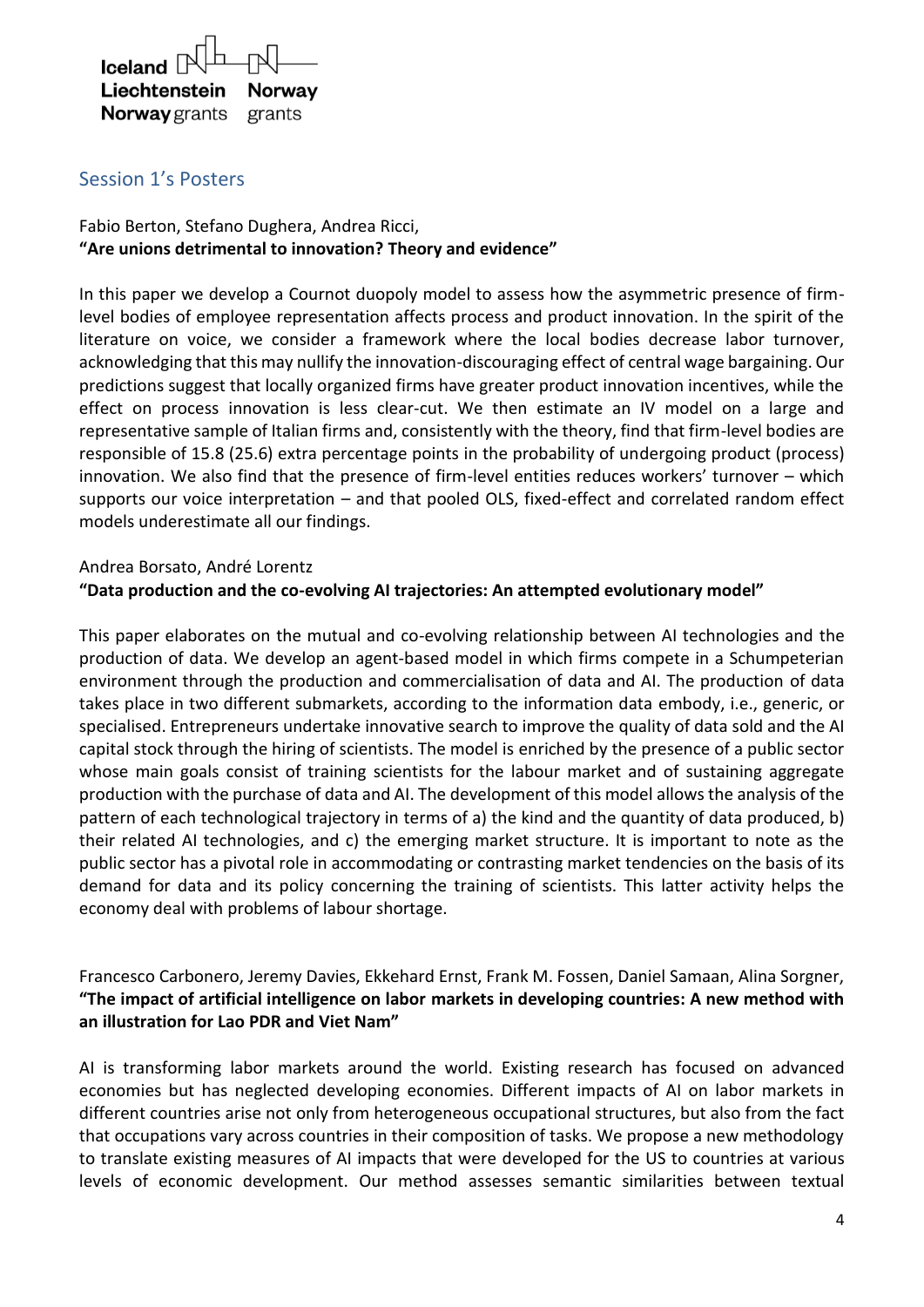

## Session 1's Posters

## Fabio Berton, Stefano Dughera, Andrea Ricci, **"Are unions detrimental to innovation? Theory and evidence"**

In this paper we develop a Cournot duopoly model to assess how the asymmetric presence of firmlevel bodies of employee representation affects process and product innovation. In the spirit of the literature on voice, we consider a framework where the local bodies decrease labor turnover, acknowledging that this may nullify the innovation-discouraging effect of central wage bargaining. Our predictions suggest that locally organized firms have greater product innovation incentives, while the effect on process innovation is less clear-cut. We then estimate an IV model on a large and representative sample of Italian firms and, consistently with the theory, find that firm-level bodies are responsible of 15.8 (25.6) extra percentage points in the probability of undergoing product (process) innovation. We also find that the presence of firm-level entities reduces workers' turnover – which supports our voice interpretation – and that pooled OLS, fixed-effect and correlated random effect models underestimate all our findings.

#### Andrea Borsato, André Lorentz

#### **"Data production and the co-evolving AI trajectories: An attempted evolutionary model"**

This paper elaborates on the mutual and co-evolving relationship between AI technologies and the production of data. We develop an agent-based model in which firms compete in a Schumpeterian environment through the production and commercialisation of data and AI. The production of data takes place in two different submarkets, according to the information data embody, i.e., generic, or specialised. Entrepreneurs undertake innovative search to improve the quality of data sold and the AI capital stock through the hiring of scientists. The model is enriched by the presence of a public sector whose main goals consist of training scientists for the labour market and of sustaining aggregate production with the purchase of data and AI. The development of this model allows the analysis of the pattern of each technological trajectory in terms of a) the kind and the quantity of data produced, b) their related AI technologies, and c) the emerging market structure. It is important to note as the public sector has a pivotal role in accommodating or contrasting market tendencies on the basis of its demand for data and its policy concerning the training of scientists. This latter activity helps the economy deal with problems of labour shortage.

### Francesco Carbonero, Jeremy Davies, Ekkehard Ernst, Frank M. Fossen, Daniel Samaan, Alina Sorgner, **"The impact of artificial intelligence on labor markets in developing countries: A new method with an illustration for Lao PDR and Viet Nam"**

AI is transforming labor markets around the world. Existing research has focused on advanced economies but has neglected developing economies. Different impacts of AI on labor markets in different countries arise not only from heterogeneous occupational structures, but also from the fact that occupations vary across countries in their composition of tasks. We propose a new methodology to translate existing measures of AI impacts that were developed for the US to countries at various levels of economic development. Our method assesses semantic similarities between textual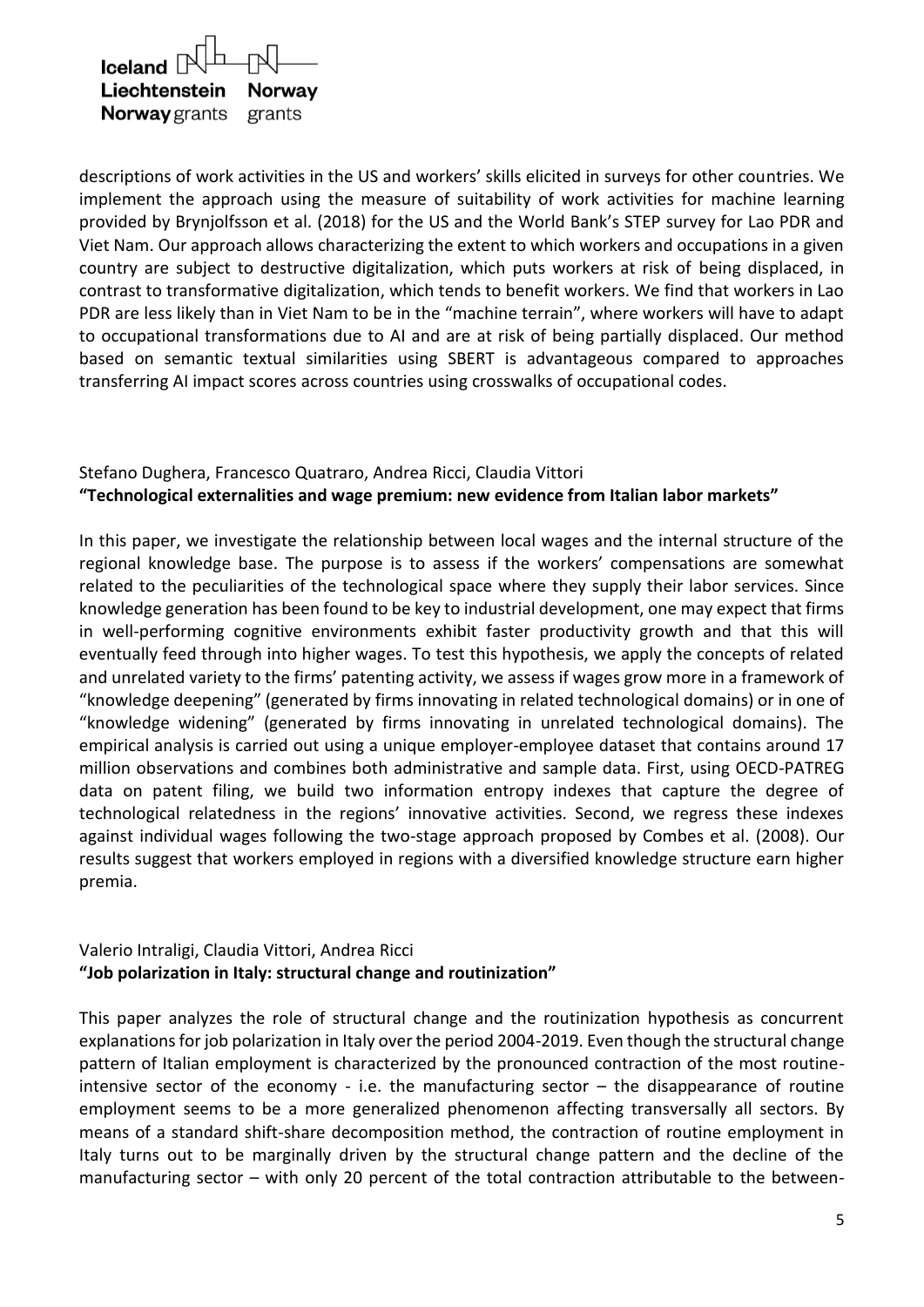

descriptions of work activities in the US and workers' skills elicited in surveys for other countries. We implement the approach using the measure of suitability of work activities for machine learning provided by Brynjolfsson et al. (2018) for the US and the World Bank's STEP survey for Lao PDR and Viet Nam. Our approach allows characterizing the extent to which workers and occupations in a given country are subject to destructive digitalization, which puts workers at risk of being displaced, in contrast to transformative digitalization, which tends to benefit workers. We find that workers in Lao PDR are less likely than in Viet Nam to be in the "machine terrain", where workers will have to adapt to occupational transformations due to AI and are at risk of being partially displaced. Our method based on semantic textual similarities using SBERT is advantageous compared to approaches transferring AI impact scores across countries using crosswalks of occupational codes.

## Stefano Dughera, Francesco Quatraro, Andrea Ricci, Claudia Vittori **"Technological externalities and wage premium: new evidence from Italian labor markets"**

In this paper, we investigate the relationship between local wages and the internal structure of the regional knowledge base. The purpose is to assess if the workers' compensations are somewhat related to the peculiarities of the technological space where they supply their labor services. Since knowledge generation has been found to be key to industrial development, one may expect that firms in well-performing cognitive environments exhibit faster productivity growth and that this will eventually feed through into higher wages. To test this hypothesis, we apply the concepts of related and unrelated variety to the firms' patenting activity, we assess if wages grow more in a framework of "knowledge deepening" (generated by firms innovating in related technological domains) or in one of "knowledge widening" (generated by firms innovating in unrelated technological domains). The empirical analysis is carried out using a unique employer-employee dataset that contains around 17 million observations and combines both administrative and sample data. First, using OECD-PATREG data on patent filing, we build two information entropy indexes that capture the degree of technological relatedness in the regions' innovative activities. Second, we regress these indexes against individual wages following the two-stage approach proposed by Combes et al. (2008). Our results suggest that workers employed in regions with a diversified knowledge structure earn higher premia.

### Valerio Intraligi, Claudia Vittori, Andrea Ricci **"Job polarization in Italy: structural change and routinization"**

This paper analyzes the role of structural change and the routinization hypothesis as concurrent explanations for job polarization in Italy over the period 2004-2019. Even though the structural change pattern of Italian employment is characterized by the pronounced contraction of the most routineintensive sector of the economy - i.e. the manufacturing sector – the disappearance of routine employment seems to be a more generalized phenomenon affecting transversally all sectors. By means of a standard shift-share decomposition method, the contraction of routine employment in Italy turns out to be marginally driven by the structural change pattern and the decline of the manufacturing sector – with only 20 percent of the total contraction attributable to the between-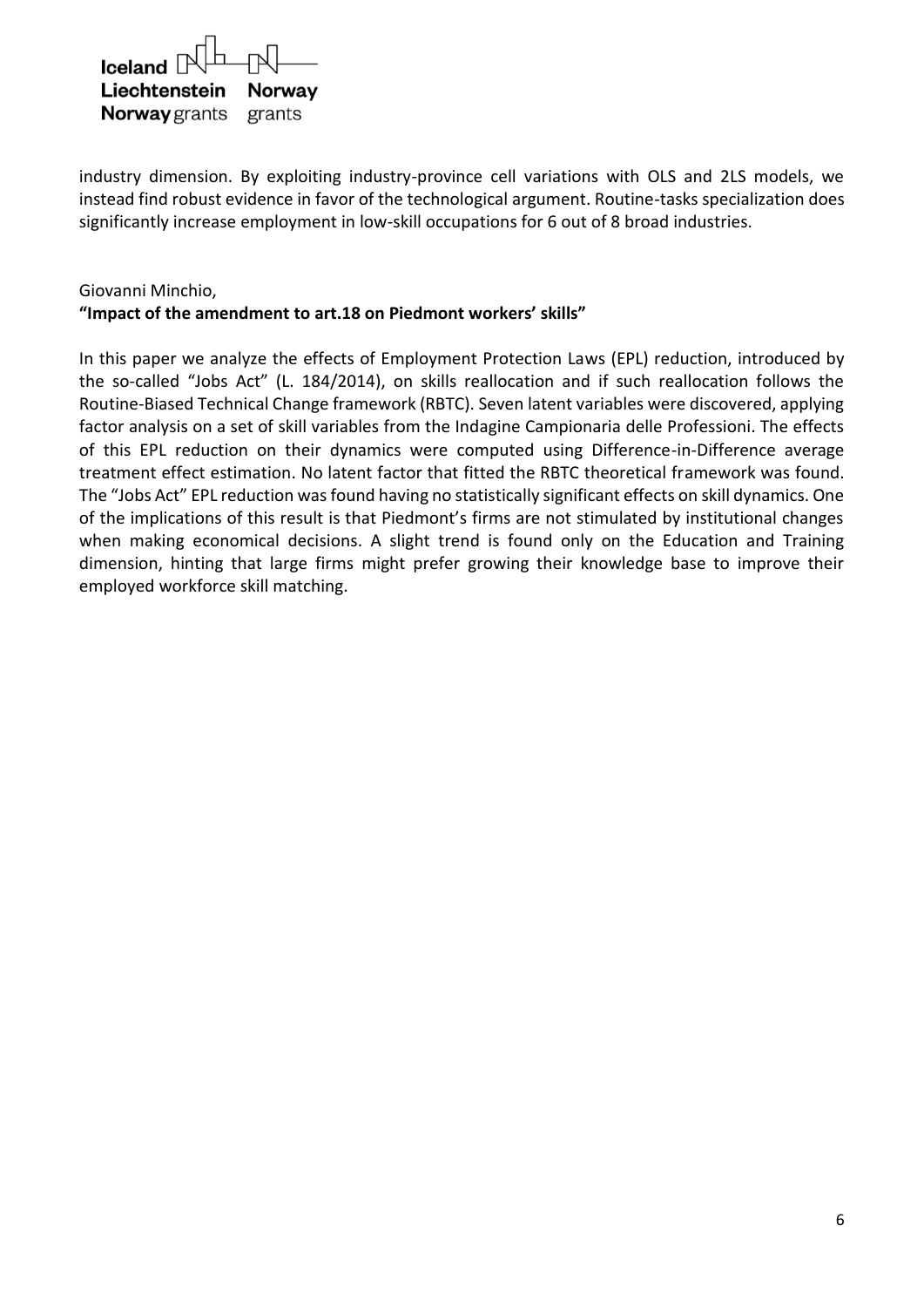| $I$ celand $\mathbb{R}$ $\Box$ |  |
|--------------------------------|--|
| Liechtenstein Norway           |  |
| <b>Norway</b> grants grants    |  |

industry dimension. By exploiting industry-province cell variations with OLS and 2LS models, we instead find robust evidence in favor of the technological argument. Routine-tasks specialization does significantly increase employment in low-skill occupations for 6 out of 8 broad industries.

### Giovanni Minchio, **"Impact of the amendment to art.18 on Piedmont workers' skills"**

In this paper we analyze the effects of Employment Protection Laws (EPL) reduction, introduced by the so-called "Jobs Act" (L. 184/2014), on skills reallocation and if such reallocation follows the Routine-Biased Technical Change framework (RBTC). Seven latent variables were discovered, applying factor analysis on a set of skill variables from the Indagine Campionaria delle Professioni. The effects of this EPL reduction on their dynamics were computed using Difference-in-Difference average treatment effect estimation. No latent factor that fitted the RBTC theoretical framework was found. The "Jobs Act" EPL reduction was found having no statistically significant effects on skill dynamics. One of the implications of this result is that Piedmont's firms are not stimulated by institutional changes when making economical decisions. A slight trend is found only on the Education and Training dimension, hinting that large firms might prefer growing their knowledge base to improve their employed workforce skill matching.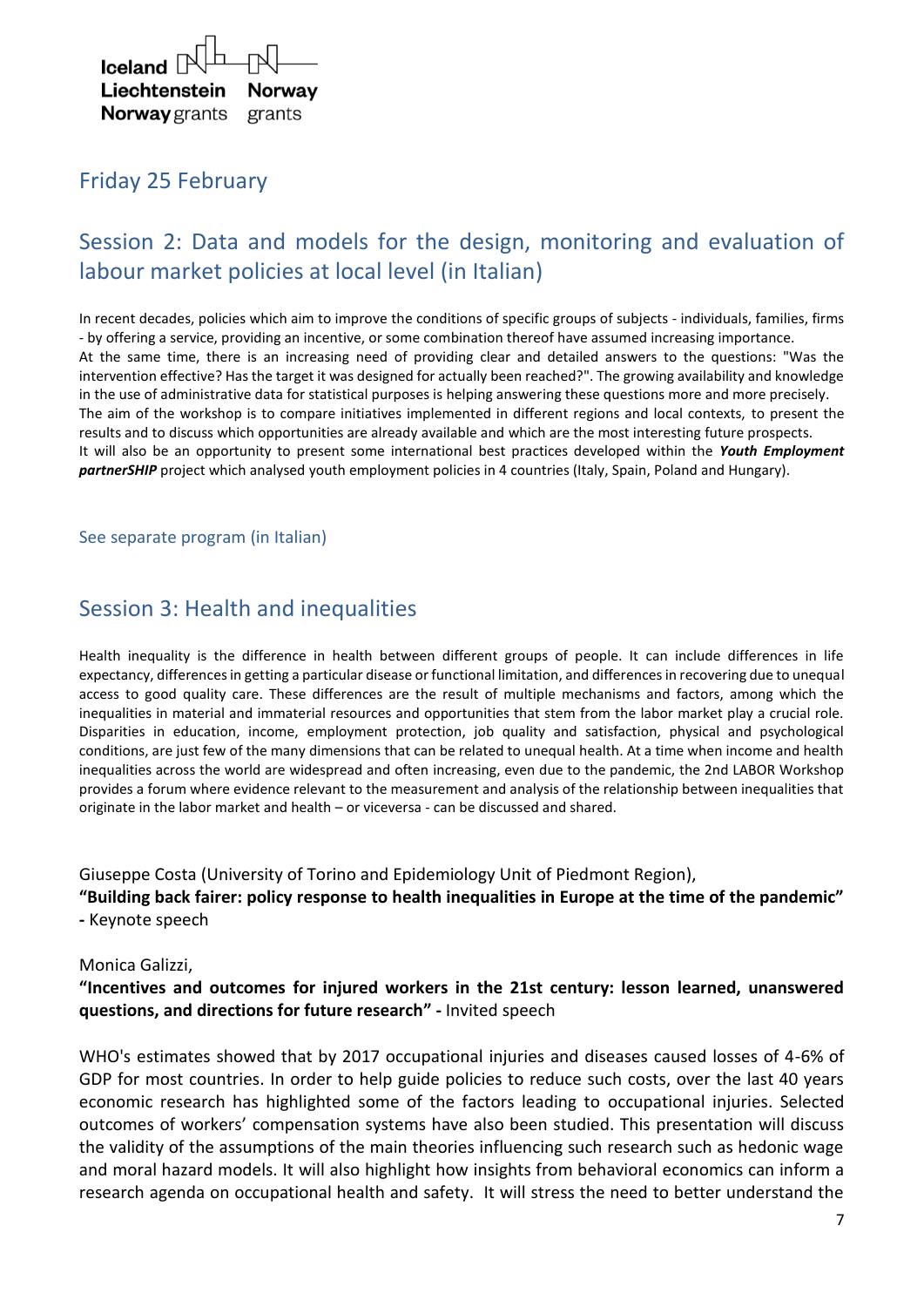

# Friday 25 February

# Session 2: Data and models for the design, monitoring and evaluation of labour market policies at local level (in Italian)

In recent decades, policies which aim to improve the conditions of specific groups of subjects - individuals, families, firms - by offering a service, providing an incentive, or some combination thereof have assumed increasing importance. At the same time, there is an increasing need of providing clear and detailed answers to the questions: "Was the intervention effective? Has the target it was designed for actually been reached?". The growing availability and knowledge in the use of administrative data for statistical purposes is helping answering these questions more and more precisely. The aim of the workshop is to compare initiatives implemented in different regions and local contexts, to present the results and to discuss which opportunities are already available and which are the most interesting future prospects. It will also be an opportunity to present some international best practices developed within the *Youth Employment partnerSHIP* project which analysed youth employment policies in 4 countries (Italy, Spain, Poland and Hungary).

#### See separate program (in Italian)

## Session 3: Health and inequalities

Health inequality is the difference in health between different groups of people. It can include differences in life expectancy, differences in getting a particular disease or functional limitation, and differences in recovering due to unequal access to good quality care. These differences are the result of multiple mechanisms and factors, among which the inequalities in material and immaterial resources and opportunities that stem from the labor market play a crucial role. Disparities in education, income, employment protection, job quality and satisfaction, physical and psychological conditions, are just few of the many dimensions that can be related to unequal health. At a time when income and health inequalities across the world are widespread and often increasing, even due to the pandemic, the 2nd LABOR Workshop provides a forum where evidence relevant to the measurement and analysis of the relationship between inequalities that originate in the labor market and health – or viceversa - can be discussed and shared.

Giuseppe Costa (University of Torino and Epidemiology Unit of Piedmont Region),

**"Building back fairer: policy response to health inequalities in Europe at the time of the pandemic" -** Keynote speech

#### Monica Galizzi,

#### **"Incentives and outcomes for injured workers in the 21st century: lesson learned, unanswered questions, and directions for future research" -** Invited speech

WHO's estimates showed that by 2017 occupational injuries and diseases caused losses of 4-6% of GDP for most countries. In order to help guide policies to reduce such costs, over the last 40 years economic research has highlighted some of the factors leading to occupational injuries. Selected outcomes of workers' compensation systems have also been studied. This presentation will discuss the validity of the assumptions of the main theories influencing such research such as hedonic wage and moral hazard models. It will also highlight how insights from behavioral economics can inform a research agenda on occupational health and safety. It will stress the need to better understand the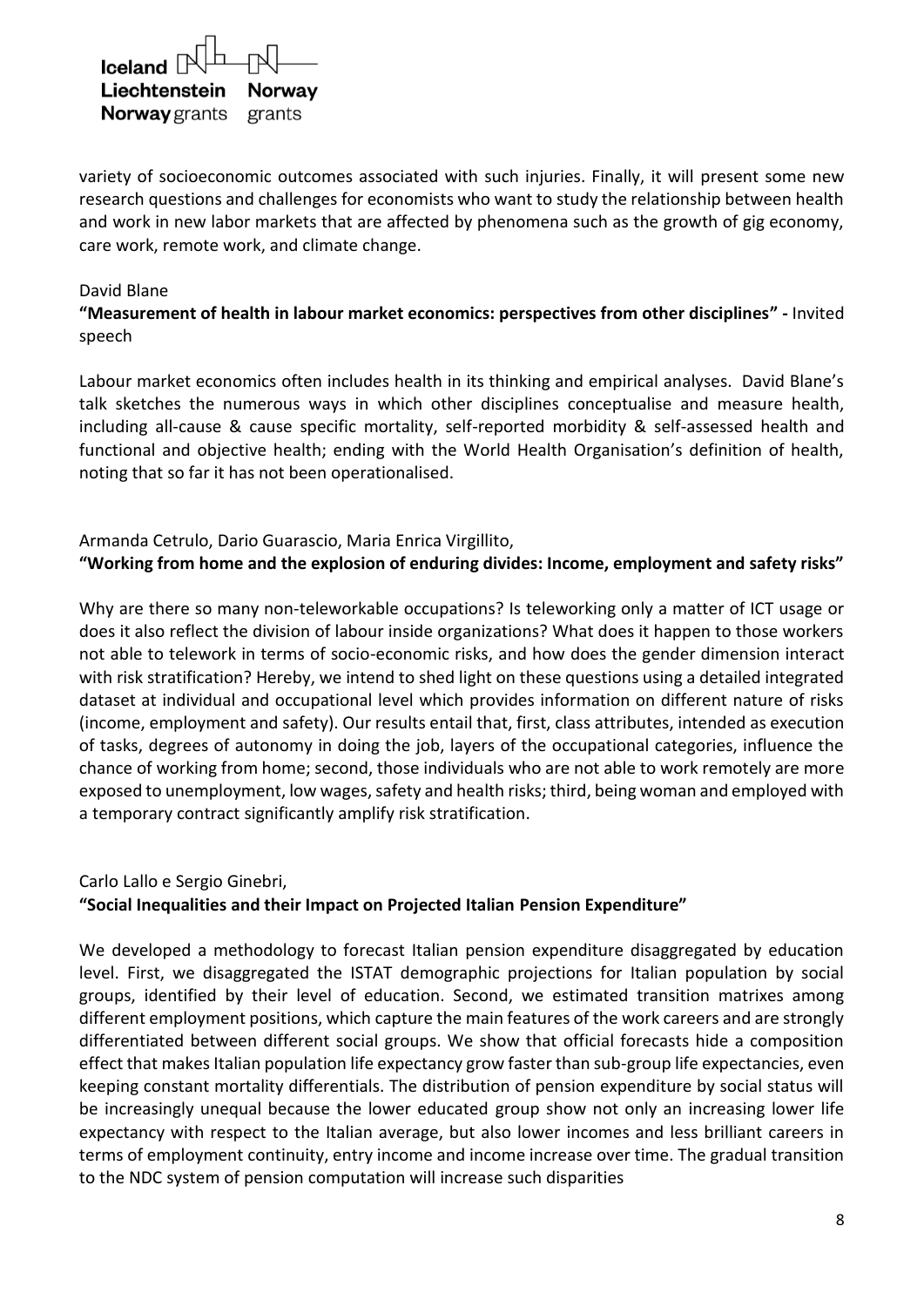| $I$ celand $\mathbb{R}$ $\Box$ |  |
|--------------------------------|--|
| Liechtenstein Norway           |  |
| <b>Norway</b> grants grants    |  |

variety of socioeconomic outcomes associated with such injuries. Finally, it will present some new research questions and challenges for economists who want to study the relationship between health and work in new labor markets that are affected by phenomena such as the growth of gig economy, care work, remote work, and climate change.

#### David Blane

#### **"Measurement of health in labour market economics: perspectives from other disciplines" -** Invited speech

Labour market economics often includes health in its thinking and empirical analyses. David Blane's talk sketches the numerous ways in which other disciplines conceptualise and measure health, including all-cause & cause specific mortality, self-reported morbidity & self-assessed health and functional and objective health; ending with the World Health Organisation's definition of health, noting that so far it has not been operationalised.

#### Armanda Cetrulo, Dario Guarascio, Maria Enrica Virgillito, **"Working from home and the explosion of enduring divides: Income, employment and safety risks"**

Why are there so many non-teleworkable occupations? Is teleworking only a matter of ICT usage or does it also reflect the division of labour inside organizations? What does it happen to those workers not able to telework in terms of socio-economic risks, and how does the gender dimension interact with risk stratification? Hereby, we intend to shed light on these questions using a detailed integrated dataset at individual and occupational level which provides information on different nature of risks (income, employment and safety). Our results entail that, first, class attributes, intended as execution of tasks, degrees of autonomy in doing the job, layers of the occupational categories, influence the chance of working from home; second, those individuals who are not able to work remotely are more exposed to unemployment, low wages, safety and health risks; third, being woman and employed with a temporary contract significantly amplify risk stratification.

## Carlo Lallo e Sergio Ginebri, **"Social Inequalities and their Impact on Projected Italian Pension Expenditure"**

We developed a methodology to forecast Italian pension expenditure disaggregated by education level. First, we disaggregated the ISTAT demographic projections for Italian population by social groups, identified by their level of education. Second, we estimated transition matrixes among different employment positions, which capture the main features of the work careers and are strongly differentiated between different social groups. We show that official forecasts hide a composition effect that makes Italian population life expectancy grow faster than sub-group life expectancies, even keeping constant mortality differentials. The distribution of pension expenditure by social status will be increasingly unequal because the lower educated group show not only an increasing lower life expectancy with respect to the Italian average, but also lower incomes and less brilliant careers in terms of employment continuity, entry income and income increase over time. The gradual transition to the NDC system of pension computation will increase such disparities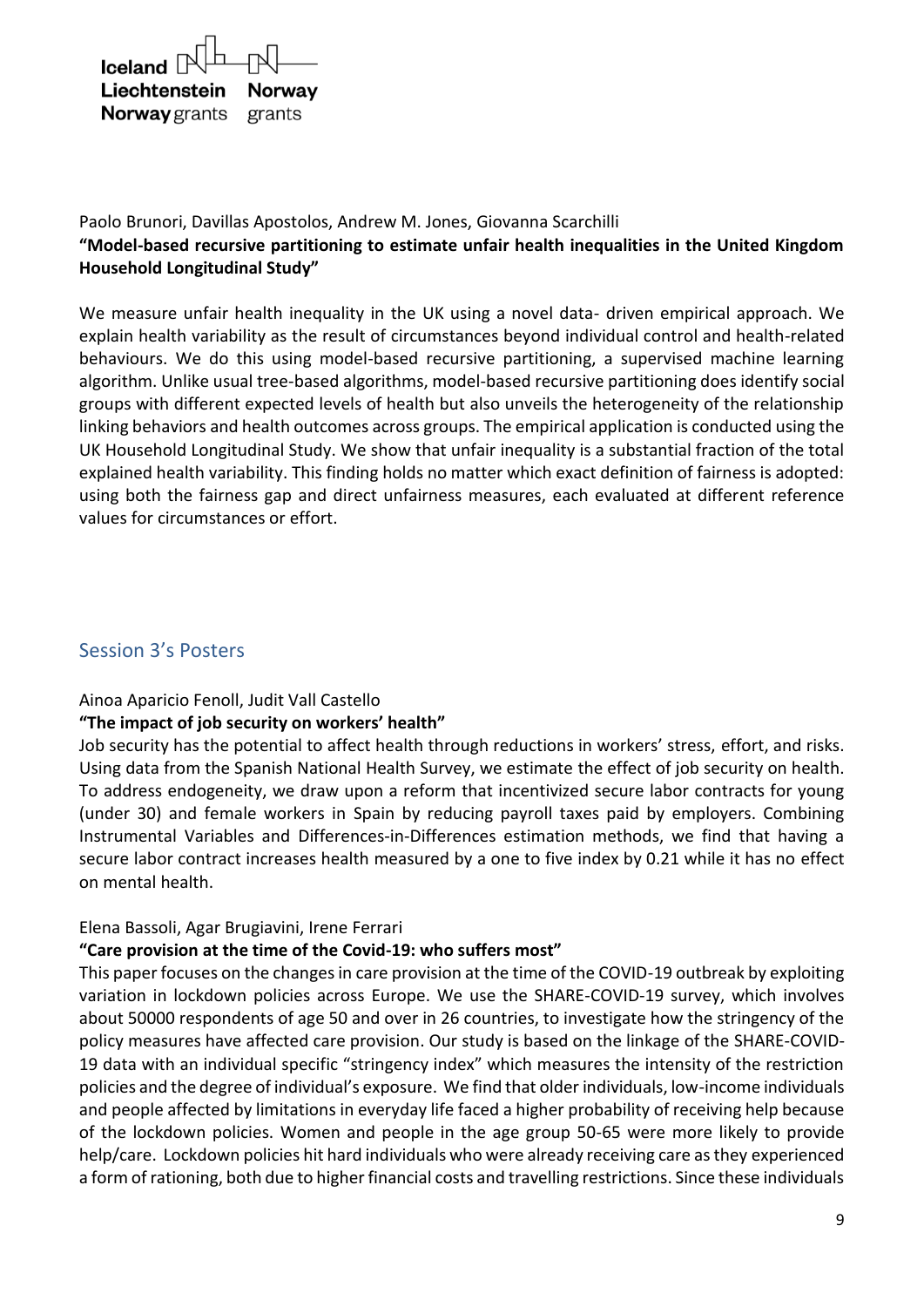| $I$ celand $\mathbb{R}$ $\Box$ |        |
|--------------------------------|--------|
| Liechtenstein Norway           |        |
| <b>Norway</b> grants           | grants |

## Paolo Brunori, Davillas Apostolos, Andrew M. Jones, Giovanna Scarchilli **"Model-based recursive partitioning to estimate unfair health inequalities in the United Kingdom Household Longitudinal Study"**

We measure unfair health inequality in the UK using a novel data- driven empirical approach. We explain health variability as the result of circumstances beyond individual control and health-related behaviours. We do this using model-based recursive partitioning, a supervised machine learning algorithm. Unlike usual tree-based algorithms, model-based recursive partitioning does identify social groups with different expected levels of health but also unveils the heterogeneity of the relationship linking behaviors and health outcomes across groups. The empirical application is conducted using the UK Household Longitudinal Study. We show that unfair inequality is a substantial fraction of the total explained health variability. This finding holds no matter which exact definition of fairness is adopted: using both the fairness gap and direct unfairness measures, each evaluated at different reference values for circumstances or effort.

## Session 3's Posters

#### Ainoa Aparicio Fenoll, Judit Vall Castello

#### **"The impact of job security on workers' health"**

Job security has the potential to affect health through reductions in workers' stress, effort, and risks. Using data from the Spanish National Health Survey, we estimate the effect of job security on health. To address endogeneity, we draw upon a reform that incentivized secure labor contracts for young (under 30) and female workers in Spain by reducing payroll taxes paid by employers. Combining Instrumental Variables and Differences-in-Differences estimation methods, we find that having a secure labor contract increases health measured by a one to five index by 0.21 while it has no effect on mental health.

#### Elena Bassoli, Agar Brugiavini, Irene Ferrari

#### **"Care provision at the time of the Covid-19: who suffers most"**

This paper focuses on the changes in care provision at the time of the COVID-19 outbreak by exploiting variation in lockdown policies across Europe. We use the SHARE-COVID-19 survey, which involves about 50000 respondents of age 50 and over in 26 countries, to investigate how the stringency of the policy measures have affected care provision. Our study is based on the linkage of the SHARE-COVID-19 data with an individual specific "stringency index" which measures the intensity of the restriction policies and the degree of individual's exposure. We find that older individuals, low-income individuals and people affected by limitations in everyday life faced a higher probability of receiving help because of the lockdown policies. Women and people in the age group 50-65 were more likely to provide help/care. Lockdown policies hit hard individuals who were already receiving care as they experienced a form of rationing, both due to higher financial costs and travelling restrictions. Since these individuals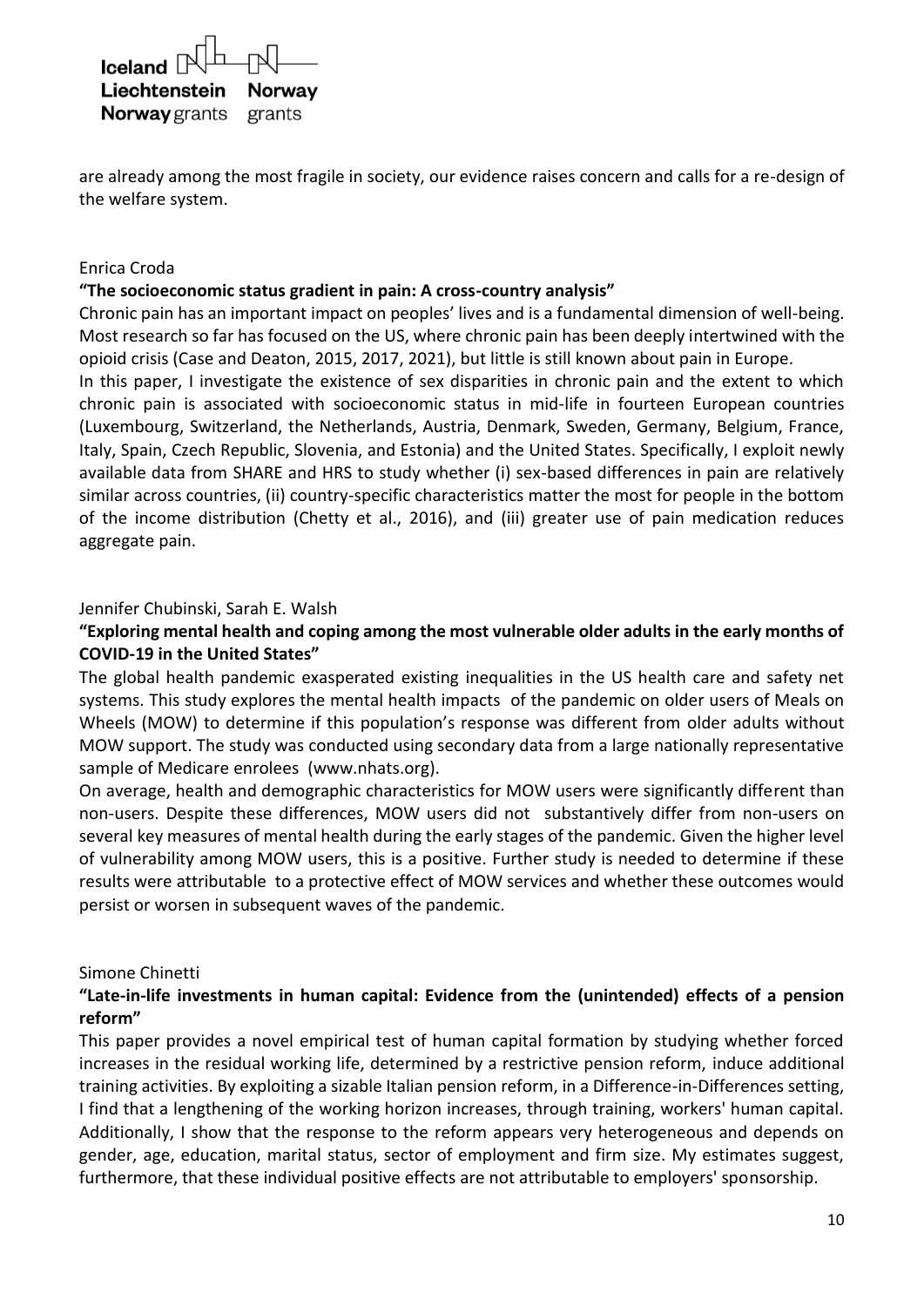| $I$ celand $\mathbb{R}$ $\Box$ |  |
|--------------------------------|--|
| Liechtenstein Norway           |  |
| <b>Norway</b> grants grants    |  |

are already among the most fragile in society, our evidence raises concern and calls for a re-design of the welfare system.

#### Enrica Croda

#### **"The socioeconomic status gradient in pain: A cross-country analysis"**

Chronic pain has an important impact on peoples' lives and is a fundamental dimension of well-being. Most research so far has focused on the US, where chronic pain has been deeply intertwined with the opioid crisis (Case and Deaton, 2015, 2017, 2021), but little is still known about pain in Europe.

In this paper, I investigate the existence of sex disparities in chronic pain and the extent to which chronic pain is associated with socioeconomic status in mid-life in fourteen European countries (Luxembourg, Switzerland, the Netherlands, Austria, Denmark, Sweden, Germany, Belgium, France, Italy, Spain, Czech Republic, Slovenia, and Estonia) and the United States. Specifically, I exploit newly available data from SHARE and HRS to study whether (i) sex-based differences in pain are relatively similar across countries, (ii) country-specific characteristics matter the most for people in the bottom of the income distribution (Chetty et al., 2016), and (iii) greater use of pain medication reduces aggregate pain.

#### Jennifer Chubinski, Sarah E. Walsh

### **"Exploring mental health and coping among the most vulnerable older adults in the early months of COVID-19 in the United States"**

The global health pandemic exasperated existing inequalities in the US health care and safety net systems. This study explores the mental health impacts of the pandemic on older users of Meals on Wheels (MOW) to determine if this population's response was different from older adults without MOW support. The study was conducted using secondary data from a large nationally representative sample of Medicare enrolees (www.nhats.org).

On average, health and demographic characteristics for MOW users were significantly different than non-users. Despite these differences, MOW users did not substantively differ from non-users on several key measures of mental health during the early stages of the pandemic. Given the higher level of vulnerability among MOW users, this is a positive. Further study is needed to determine if these results were attributable to a protective effect of MOW services and whether these outcomes would persist or worsen in subsequent waves of the pandemic.

#### Simone Chinetti

#### **"Late-in-life investments in human capital: Evidence from the (unintended) effects of a pension reform"**

This paper provides a novel empirical test of human capital formation by studying whether forced increases in the residual working life, determined by a restrictive pension reform, induce additional training activities. By exploiting a sizable Italian pension reform, in a Difference-in-Differences setting, I find that a lengthening of the working horizon increases, through training, workers' human capital. Additionally, I show that the response to the reform appears very heterogeneous and depends on gender, age, education, marital status, sector of employment and firm size. My estimates suggest, furthermore, that these individual positive effects are not attributable to employers' sponsorship.